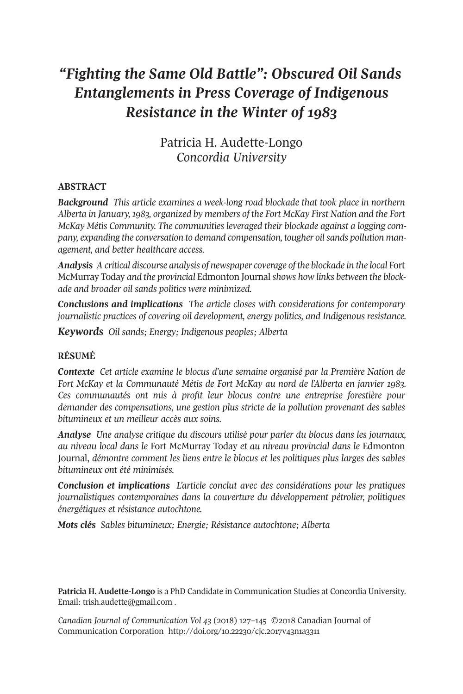# *"Fighting the Same Old Battle": Obscured Oil Sands Entanglements in Press Coverage of Indigenous Resistance in the Winter of 1983*

# Patricia H. Audette-Longo *Concordia University*

# **ABSTRACT**

*Background This article examines a week-long road blockade that took place in northern Alberta in January, 1983, organized by members of the Fort McKay First Nation and the Fort McKay Métis Community. The communities leveraged their blockade against a logging company, expanding the conversation to demand compensation, tougher oilsands pollution management, and better healthcare access.*

*Analysis A critical discourse analysis of newspaper coverage of the blockade in the local* Fort McMurray Today *and the provincial* Edmonton Journal*shows how links between the blockade and broader oil sands politics were minimized.*

*Conclusions and implications The article closes with considerations for contemporary journalistic practices of covering oil development, energy politics, and Indigenous resistance.*

*Keywords Oil sands; Energy; Indigenous peoples; Alberta*

# **RÉSUMÉ**

*Contexte Cet article examine le blocus d'une semaine organisé par la Première Nation de Fort McKay et la Communauté Métis de Fort McKay au nord de l'Alberta en janvier 1983. Ces communautés ont mis à profit leur blocus contre une entreprise forestière pour demander des compensations, une gestion plus stricte de la pollution provenant des sables bitumineux et un meilleur accès aux soins.*

*Analyse Une analyse critique du discours utilisé pour parler du blocus dans les journaux, au niveau local dans le* Fort McMurray Today *et au niveau provincial dans le* Edmonton Journal, *démontre comment les liens entre le blocus et les politiques plus larges des sables bitumineux ont été minimisés.*

*Conclusion et implications L'article conclut avec des considérations pour les pratiques journalistiques contemporaines dans la couverture du développement pétrolier, politiques énergétiques et résistance autochtone.*

*Mots clés Sables bitumineux; Energie; Résistance autochtone; Alberta*

**Patricia H. Audette-Longo** is a PhD Candidate in Communication Studies at Concordia University. Email: [trish.audette@gmail.com](mailto:trish.audette@gmail.com) .

*Canadian Journal of [Communication](http://www.cjc-online.ca) Vol 43* (2018) 127–145 ©2018 Canadian Journal of Communication Corporation <http://doi.org/10.22230/cjc.2017v43n1a3311>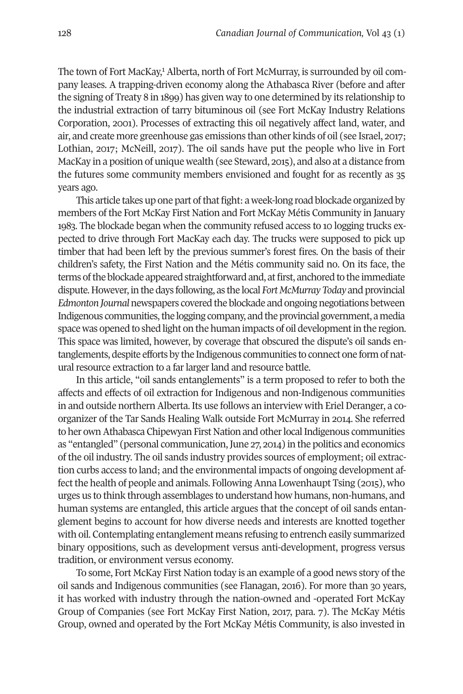The town of Fort MacKay,<sup>[1](#page-15-0)</sup> Alberta, north of Fort McMurray, is surrounded by oil company leases. A trapping-driven economy along the Athabasca River (before and after the signing of Treaty 8 in 1899) has given way to one determined by its relationship to the industrial extraction of tarry bituminous oil (see Fort McKay Industry Relations Corporation, 2001). Processes of extracting this oil negatively affect land, water, and air, and create more greenhouse gas emissions than other kinds of oil (see Israel, 2017; Lothian, 2017; McNeill, 2017). The oil sands have put the people who live in Fort MacKay in a position of unique wealth (see Steward, 2015), and also at a distance from the futures some community members envisioned and fought for as recently as 35 years ago.

This article takes up one part of that fight: a week-long road blockade organized by members of the Fort McKay First Nation and Fort McKay Métis Community in January 1983. The blockade began when the community refused access to 10 logging trucks expected to drive through Fort MacKay each day. The trucks were supposed to pick up timber that had been left by the previous summer's forest fires. On the basis of their children's safety, the First Nation and the Métis community said no. On its face, the terms ofthe blockade appeared straightforward and, atfirst, anchored to the immediate dispute.However, inthe days following, as the local *Fort McMurrayToday* and provincial *Edmonton Journal* newspapers covered the blockade and ongoing negotiations between Indigenous communities, the logging company, and the provincial government, a media space was opened to shed light on the human impacts of oil development in the region. This space was limited, however, by coverage that obscured the dispute's oil sands entanglements, despite efforts by the Indigenous communities to connect one formofnatural resource extraction to a far larger land and resource battle.

In this article, "oil sands entanglements" is a term proposed to refer to both the affects and effects of oil extraction for Indigenous and non-Indigenous communities in and outside northern Alberta. Its use follows an interview with Eriel Deranger, a coorganizer of the Tar Sands Healing Walk outside Fort McMurray in 2014. She referred to her own Athabasca Chipewyan First Nation and other local Indigenous communities as "entangled" (personal communication, June 27, 2014) in the politics and economics of the oil industry. The oil sands industry provides sources of employment; oil extraction curbs access to land; and the environmental impacts of ongoing development affect the health of people and animals. Following Anna Lowenhaupt Tsing (2015), who urges us to think through assemblages to understand how humans, non-humans, and human systems are entangled, this article argues that the concept of oil sands entanglement begins to account for how diverse needs and interests are knotted together with oil. Contemplating entanglement means refusing to entrench easily summarized binary oppositions, such as development versus anti-development, progress versus tradition, or environment versus economy.

To some, Fort McKay First Nation today is an example of a good news story of the oil sands and Indigenous communities (see Flanagan, 2016). For more than 30 years, it has worked with industry through the nation-owned and -operated Fort McKay Group of Companies (see Fort McKay First Nation, 2017, para. 7). The McKay Métis Group, owned and operated by the Fort McKay Métis Community, is also invested in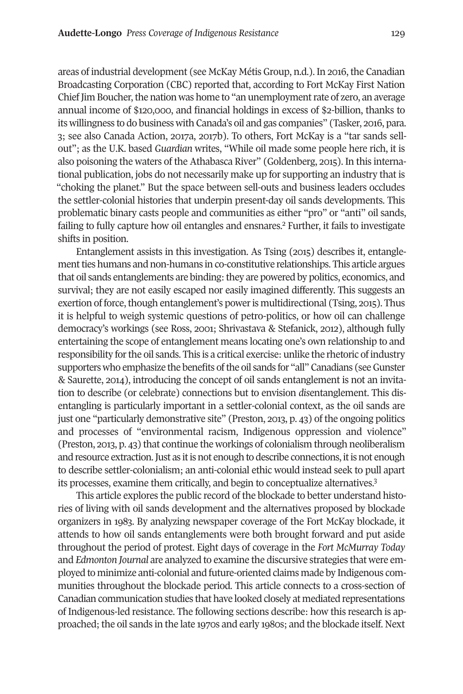areas of industrial development (see McKay Métis Group, n.d.). In 2016, the Canadian Broadcasting Corporation (CBC) reported that, according to Fort McKay First Nation Chief Jim Boucher, the nation was home to "an unemployment rate of zero, an average annual income of \$120,000, and financial holdings in excess of \$2-billion, thanks to its willingness to do business with Canada's oil and gas companies" (Tasker, 2016, para. 3; see also Canada Action, 2017a, 2017b). To others, Fort McKay is a "tar sands sellout"; as the U.K. based *Guardian* writes, "While oil made some people here rich, it is also poisoning the waters of the Athabasca River" (Goldenberg, 2015). In this international publication, jobs do not necessarily make up for supporting an industry that is "choking the planet." But the space between sell-outs and business leaders occludes the settler-colonial histories that underpin present-day oil sands developments. This problematic binary casts people and communities as either "pro" or "anti" oil sands, failing to fully capture how oil entangles and ensnares. [2](#page-15-1) Further, it fails to investigate shifts in position.

Entanglement assists in this investigation. As Tsing (2015) describes it, entanglement ties humans and non-humans in co-constitutive relationships. This article argues that oil sands entanglements are binding: they are powered by politics, economics, and survival; they are not easily escaped nor easily imagined differently. This suggests an exertion of force, though entanglement's power is multidirectional (Tsing, 2015). Thus it is helpful to weigh systemic questions of petro-politics, or how oil can challenge democracy's workings (see Ross, 2001; Shrivastava & Stefanick, 2012), although fully entertaining the scope of entanglement means locating one's own relationship to and responsibility for the oil sands. This is a critical exercise: unlike the rhetoric of industry supporters who emphasize the benefits of the oil sands for "all" Canadians (see Gunster & Saurette, 2014), introducing the concept of oil sands entanglement is not an invitation to describe (or celebrate) connections but to envision *dis*entanglement. This disentangling is particularly important in a settler-colonial context, as the oil sands are just one "particularly demonstrative site" (Preston, 2013, p. 43) of the ongoing politics and processes of "environmental racism, Indigenous oppression and violence" (Preston, 2013, p. 43) that continue the workings of colonialism through neoliberalism and resource extraction. Just as it is not enough to describe connections, it is not enough to describe settler-colonialism; an anti-colonial ethic would instead seek to pull apart its processes, examine them critically, and begin to conceptualize alternatives. [3](#page-15-2)

This article explores the public record of the blockade to better understand histories of living with oil sands development and the alternatives proposed by blockade organizers in 1983. By analyzing newspaper coverage of the Fort McKay blockade, it attends to how oil sands entanglements were both brought forward and put aside throughout the period of protest. Eight days of coverage in the *Fort McMurray Today* and *Edmonton Journal* are analyzed to examine the discursive strategies that were employed to minimize anti-colonial and future-oriented claims made by Indigenous communities throughout the blockade period. This article connects to a cross-section of Canadian communication studies that have looked closely at mediated representations of Indigenous-led resistance. The following sections describe: how this research is approached; the oil sands in the late 1970s and early 1980s; and the blockade itself. Next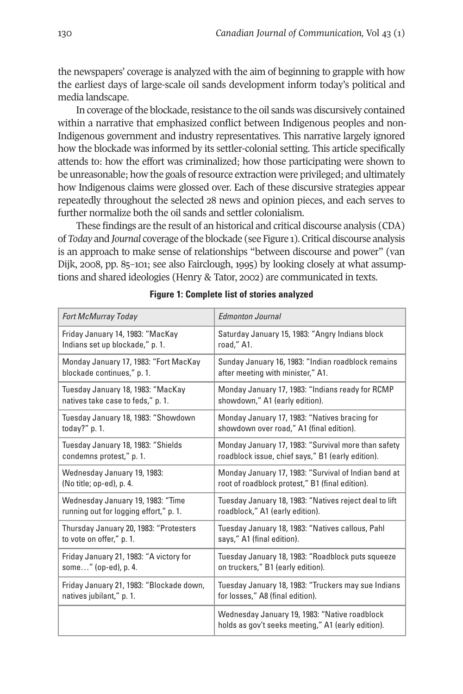the newspapers' coverage is analyzed with the aim of beginning to grapple with how the earliest days of large-scale oil sands development inform today's political and media landscape.

In coverage of the blockade, resistance to the oil sands was discursively contained within a narrative that emphasized conflict between Indigenous peoples and non-Indigenous government and industry representatives. This narrative largely ignored how the blockade was informed by its settler-colonial setting. This article specifically attends to: how the effort was criminalized; how those participating were shown to be unreasonable; how the goals ofresource extraction were privileged; and ultimately how Indigenous claims were glossed over. Each of these discursive strategies appear repeatedly throughout the selected 28 news and opinion pieces, and each serves to further normalize both the oil sands and settler colonialism.

These findings are the result of an historical and critical discourse analysis (CDA) of *Today* and *Journal* coverage ofthe blockade (see Figure 1). Critical discourse analysis is an approach to make sense of relationships "between discourse and power" (van Dijk, 2008, pp. 85–101; see also Fairclough, 1995) by looking closely at what assumptions and shared ideologies (Henry & Tator, 2002) are communicated in texts.

| <b>Fort McMurray Today</b>               | Fdmonton Journal                                                                                    |
|------------------------------------------|-----------------------------------------------------------------------------------------------------|
| Friday January 14, 1983: "MacKay         | Saturday January 15, 1983: "Angry Indians block                                                     |
| Indians set up blockade," p. 1.          | road," A1.                                                                                          |
| Monday January 17, 1983: "Fort MacKay    | Sunday January 16, 1983: "Indian roadblock remains                                                  |
| blockade continues," p. 1.               | after meeting with minister," A1.                                                                   |
| Tuesday January 18, 1983: "MacKay        | Monday January 17, 1983: "Indians ready for RCMP                                                    |
| natives take case to feds," p. 1.        | showdown," A1 (early edition).                                                                      |
| Tuesday January 18, 1983: "Showdown      | Monday January 17, 1983: "Natives bracing for                                                       |
| today?" $p. 1$ .                         | showdown over road," A1 (final edition).                                                            |
| Tuesday January 18, 1983: "Shields       | Monday January 17, 1983: "Survival more than safety                                                 |
| condemns protest," p. 1.                 | roadblock issue, chief says," B1 (early edition).                                                   |
| Wednesday January 19, 1983:              | Monday January 17, 1983: "Survival of Indian band at                                                |
| (No title; op-ed), p. 4.                 | root of roadblock protest," B1 (final edition).                                                     |
| Wednesday January 19, 1983: "Time        | Tuesday January 18, 1983: "Natives reject deal to lift                                              |
| running out for logging effort," p. 1.   | roadblock," A1 (early edition).                                                                     |
| Thursday January 20, 1983: "Protesters   | Tuesday January 18, 1983: "Natives callous, Pahl                                                    |
| to vote on offer," p. 1.                 | says," A1 (final edition).                                                                          |
| Friday January 21, 1983: "A victory for  | Tuesday January 18, 1983: "Roadblock puts squeeze                                                   |
| some" (op-ed), p. 4.                     | on truckers," B1 (early edition).                                                                   |
| Friday January 21, 1983: "Blockade down, | Tuesday January 18, 1983: "Truckers may sue Indians                                                 |
| natives jubilant," p. 1.                 | for losses," A8 (final edition).                                                                    |
|                                          | Wednesday January 19, 1983: "Native roadblock<br>holds as gov't seeks meeting," A1 (early edition). |

**Figure 1: Complete list of stories analyzed**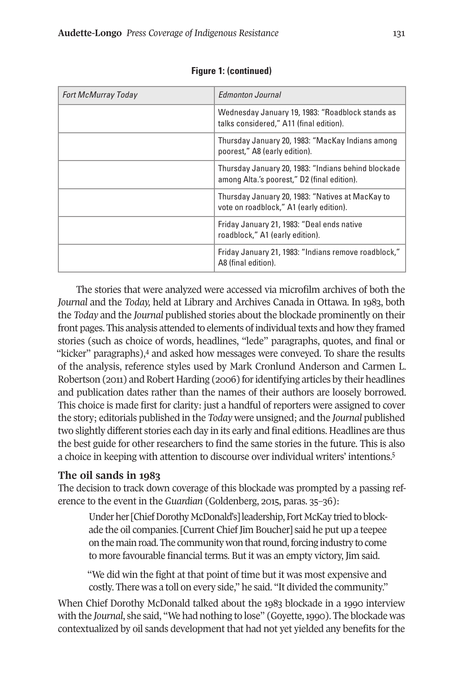| <b>Fort McMurray Today</b> | <b>Edmonton Journal</b>                                                                            |
|----------------------------|----------------------------------------------------------------------------------------------------|
|                            | Wednesday January 19, 1983: "Roadblock stands as<br>talks considered," A11 (final edition).        |
|                            | Thursday January 20, 1983: "MacKay Indians among<br>poorest," A8 (early edition).                  |
|                            | Thursday January 20, 1983: "Indians behind blockade<br>among Alta.'s poorest," D2 (final edition). |
|                            | Thursday January 20, 1983: "Natives at MacKay to<br>vote on roadblock," A1 (early edition).        |
|                            | Friday January 21, 1983: "Deal ends native<br>roadblock," A1 (early edition).                      |
|                            | Friday January 21, 1983: "Indians remove roadblock,"<br>A8 (final edition).                        |

**Figure 1: (continued)**

The stories that were analyzed were accessed via microfilm archives of both the *Journal* and the *Today,* held at Library and Archives Canada in Ottawa. In 1983, both the *Today* and the *Journal* published stories about the blockade prominently on their front pages. This analysis attended to elements of individual texts and how they framed stories (such as choice of words, headlines, "lede" paragraphs, quotes, and final or "kicker" paragraphs),<sup>[4](#page-15-3)</sup> and asked how messages were conveyed. To share the results of the analysis, reference styles used by Mark Cronlund Anderson and Carmen L. Robertson (2011) and Robert Harding (2006) foridentifying articles by their headlines and publication dates rather than the names of their authors are loosely borrowed. This choice is made first for clarity: just a handful of reporters were assigned to cover the story; editorials published in the *Today* were unsigned; and the *Journal* published two slightly different stories each day in its early and final editions. Headlines are thus the best guide for other researchers to find the same stories in the future. This is also a choice in keeping with attention to discourse over individual writers' intentions. [5](#page-15-4)

# **The oil sands in 1983**

The decision to track down coverage of this blockade was prompted by a passing reference to the event in the *Guardian* (Goldenberg, 2015, paras. 35–36):

Under her [Chief Dorothy McDonald's] leadership, Fort McKay tried to blockade the oil companies. [Current Chief Jim Boucher] said he put up a teepee on the main road. The community won that round, forcing industry to come to more favourable financial terms. But it was an empty victory, Jim said.

"We did win the fight at that point of time but it was most expensive and costly. There was a toll on every side," he said. "It divided the community."

When Chief Dorothy McDonald talked about the 1983 blockade in a 1990 interview with the *Journal*, she said, "We had nothing to lose" (Goyette,1990). The blockade was contextualized by oil sands development that had not yet yielded any benefits for the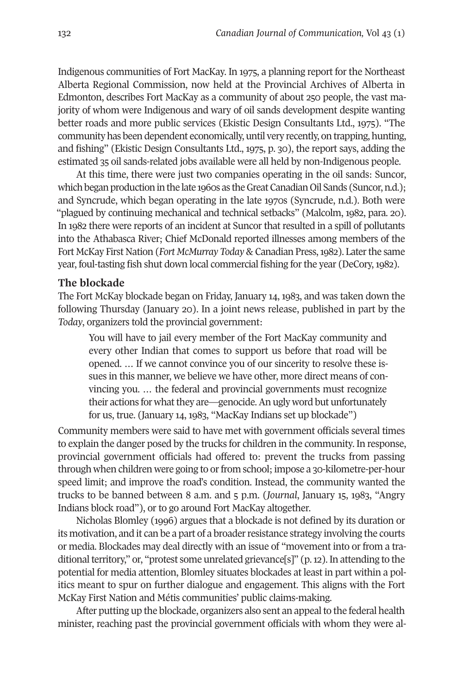Indigenous communities of Fort MacKay. In 1975, a planning report for the Northeast Alberta Regional Commission, now held at the Provincial Archives of Alberta in Edmonton, describes Fort MacKay as a community of about 250 people, the vast majority of whom were Indigenous and wary of oil sands development despite wanting better roads and more public services (Ekistic Design Consultants Ltd., 1975). "The community has been dependent economically, until very recently, on trapping, hunting, and fishing" (Ekistic Design Consultants Ltd., 1975, p. 30), the report says, adding the estimated 35 oil sands-related jobs available were all held by non-Indigenous people.

At this time, there were just two companies operating in the oil sands: Suncor, which began production in the late 1960s as the Great Canadian Oil Sands (Suncor, n.d.); and Syncrude, which began operating in the late 1970s (Syncrude, n.d.). Both were "plagued by continuing mechanical and technical setbacks" (Malcolm, 1982, para. 20). In 1982 there were reports of an incident at Suncor that resulted in a spill of pollutants into the Athabasca River; Chief McDonald reported illnesses among members of the Fort McKay First Nation (*Fort McMurray Today* & Canadian Press,1982). Laterthe same year, foul-tasting fish shut down local commercial fishing for the year (DeCory, 1982).

#### **The blockade**

The Fort McKay blockade began on Friday, January 14, 1983, and was taken down the following Thursday (January 20). In a joint news release, published in part by the *Today*, organizers told the provincial government:

You will have to jail every member of the Fort MacKay community and every other Indian that comes to support us before that road will be opened. … If we cannot convince you of our sincerity to resolve these issues in this manner, we believe we have other, more direct means of convincing you. … the federal and provincial governments must recognize their actions for what they are—genocide. An ugly word but unfortunately for us, true. (January 14, 1983, "MacKay Indians set up blockade")

Community members were said to have met with government officials several times to explain the danger posed by the trucks for children in the community. In response, provincial government officials had offered to: prevent the trucks from passing through when children were going to or from school; impose a 30-kilometre-per-hour speed limit; and improve the road's condition. Instead, the community wanted the trucks to be banned between 8 a.m. and 5 p.m. (*Journal*, January 15, 1983, "Angry Indians block road"), or to go around Fort MacKay altogether.

Nicholas Blomley (1996) argues that a blockade is not defined by its duration or its motivation, and it can be a part of a broader resistance strategy involving the courts or media. Blockades may deal directly with an issue of "movement into or from a traditional territory," or, "protest some unrelated grievance $[s]$ " (p. 12). In attending to the potential for media attention, Blomley situates blockades at least in part within a politics meant to spur on further dialogue and engagement. This aligns with the Fort McKay First Nation and Métis communities' public claims-making.

After putting up the blockade, organizers also sent an appealto the federal health minister, reaching past the provincial government officials with whom they were al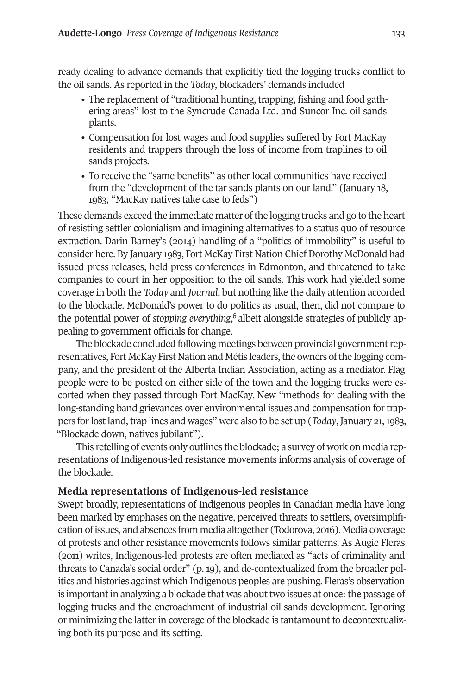ready dealing to advance demands that explicitly tied the logging trucks conflict to the oil sands. As reported in the *Today*, blockaders' demands included

- The replacement of "traditional hunting, trapping, fishing and food gathering areas" lost to the Syncrude Canada Ltd. and Suncor Inc. oil sands plants.
- Compensation for lost wages and food supplies suffered by Fort MacKay residents and trappers through the loss of income from traplines to oil sands projects.
- To receive the "same benefits" as other local communities have received from the "development of the tar sands plants on our land." (January 18, 1983, "MacKay natives take case to feds")

These demands exceed the immediate matter of the logging trucks and go to the heart of resisting settler colonialism and imagining alternatives to a status quo of resource extraction. Darin Barney's (2014) handling of a "politics of immobility" is useful to consider here. By January 1983, Fort McKay First Nation Chief Dorothy McDonald had issued press releases, held press conferences in Edmonton, and threatened to take companies to court in her opposition to the oil sands. This work had yielded some coverage in both the *Today* and *Journal*, but nothing like the daily attention accorded to the blockade. McDonald's power to do politics as usual, then, did not compare to the potential power of *stopping everything*, [6](#page-16-0) albeit alongside strategies of publicly appealing to government officials for change.

The blockade concluded following meetings between provincial government representatives, Fort McKay First Nation and Métis leaders, the owners of the logging company, and the president of the Alberta Indian Association, acting as a mediator. Flag people were to be posted on either side of the town and the logging trucks were escorted when they passed through Fort MacKay. New "methods for dealing with the long-standing band grievances over environmental issues and compensation fortrappers forlost land, trap lines and wages" were also to be set up (*Today*, January 21,1983, "Blockade down, natives jubilant").

This retelling of events only outlines the blockade; a survey of work on media representations of Indigenous-led resistance movements informs analysis of coverage of the blockade.

#### **Media representations of Indigenous-led resistance**

Swept broadly, representations of Indigenous peoples in Canadian media have long been marked by emphases on the negative, perceived threats to settlers, oversimplification of issues, and absences from media altogether (Todorova, 2016). Media coverage of protests and other resistance movements follows similar patterns. As Augie Fleras (2011) writes, Indigenous-led protests are often mediated as "acts of criminality and threats to Canada's social order" (p. 19), and de-contextualized from the broader politics and histories against which Indigenous peoples are pushing. Fleras's observation is important in analyzing a blockade that was about two issues at once: the passage of logging trucks and the encroachment of industrial oil sands development. Ignoring or minimizing the latter in coverage of the blockade is tantamount to decontextualizing both its purpose and its setting.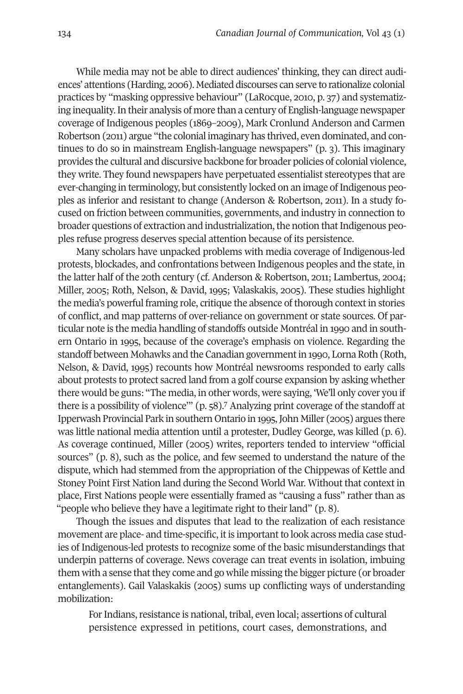While media may not be able to direct audiences' thinking, they can direct audiences' attentions (Harding, 2006). Mediated discourses can serve to rationalize colonial practices by "masking oppressive behaviour" (LaRocque, 2010, p. 37) and systematizing inequality.In their analysis of more than a century of English-language newspaper coverage of Indigenous peoples (1869–2009), Mark Cronlund Anderson and Carmen Robertson (2011) argue "the colonial imaginary has thrived, even dominated, and continues to do so in mainstream English-language newspapers" (p. 3). This imaginary provides the cultural and discursive backbone for broader policies of colonial violence, they write. They found newspapers have perpetuated essentialist stereotypes that are ever-changing in terminology, but consistently locked on an image of Indigenous peoples as inferior and resistant to change (Anderson & Robertson, 2011). In a study focused on friction between communities, governments, and industry in connection to broader questions of extraction and industrialization, the notion that Indigenous peoples refuse progress deserves special attention because of its persistence.

Many scholars have unpacked problems with media coverage of Indigenous-led protests, blockades, and confrontations between Indigenous peoples and the state, in the latter half of the 20th century (cf. Anderson & Robertson, 2011; Lambertus, 2004; Miller, 2005; Roth, Nelson, & David, 1995; Valaskakis, 2005). These studies highlight the media's powerful framing role, critique the absence of thorough context in stories of conflict, and map patterns of over-reliance on government or state sources. Of particular note is the media handling of standoffs outside Montréal in 1990 and in southern Ontario in 1995, because of the coverage's emphasis on violence. Regarding the standoff between Mohawks and the Canadian governmentin 1990, Lorna Roth (Roth, Nelson, & David, 1995) recounts how Montréal newsrooms responded to early calls about protests to protect sacred land from a golf course expansion by asking whether there would be guns:"The media, in other words, were saying, 'We'll only cover you if there is a possibility of violence'" (p. 58). [7](#page-16-1) Analyzing print coverage of the standoff at Ipperwash Provincial Park in southern Ontario in 1995,John Miller (2005) argues there was little national media attention until a protester, Dudley George, was killed (p. 6). As coverage continued, Miller (2005) writes, reporters tended to interview "official sources" (p. 8), such as the police, and few seemed to understand the nature of the dispute, which had stemmed from the appropriation of the Chippewas of Kettle and Stoney Point First Nation land during the Second World War. Without that context in place, First Nations people were essentially framed as "causing a fuss" rather than as "people who believe they have a legitimate right to their land" (p. 8).

Though the issues and disputes that lead to the realization of each resistance movement are place- and time-specific, it is important to look across media case studies of Indigenous-led protests to recognize some of the basic misunderstandings that underpin patterns of coverage. News coverage can treat events in isolation, imbuing them with a sense that they come and go while missing the bigger picture (or broader entanglements). Gail Valaskakis (2005) sums up conflicting ways of understanding mobilization:

For Indians, resistance is national, tribal, even local; assertions of cultural persistence expressed in petitions, court cases, demonstrations, and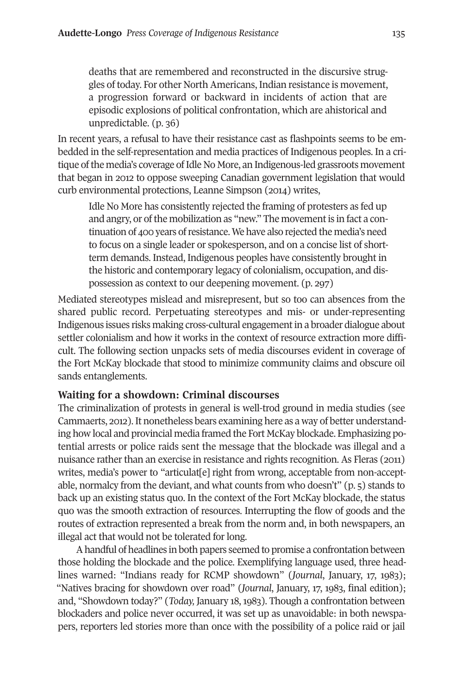deaths that are remembered and reconstructed in the discursive struggles of today. For other North Americans, Indian resistance is movement, a progression forward or backward in incidents of action that are episodic explosions of political confrontation, which are ahistorical and unpredictable. (p. 36)

In recent years, a refusal to have their resistance cast as flashpoints seems to be embedded in the self-representation and media practices of Indigenous peoples. In a critique of the media's coverage of Idle No More, an Indigenous-led grassroots movement that began in 2012 to oppose sweeping Canadian government legislation that would curb environmental protections, Leanne Simpson (2014) writes,

Idle No More has consistently rejected the framing of protesters as fed up and angry, or of the mobilization as "new." The movement is in fact a continuation of 400 years of resistance. We have also rejected the media's need to focus on a single leader or spokesperson, and on a concise list of shortterm demands. Instead, Indigenous peoples have consistently brought in the historic and contemporary legacy of colonialism, occupation, and dispossession as context to our deepening movement. (p. 297)

Mediated stereotypes mislead and misrepresent, but so too can absences from the shared public record. Perpetuating stereotypes and mis- or under-representing Indigenous issues risks making cross-cultural engagementin a broader dialogue about settler colonialism and how it works in the context of resource extraction more difficult. The following section unpacks sets of media discourses evident in coverage of the Fort McKay blockade that stood to minimize community claims and obscure oil sands entanglements.

# **Waiting for a showdown: Criminal discourses**

The criminalization of protests in general is well-trod ground in media studies (see Cammaerts, 2012). It nonetheless bears examining here as a way of better understanding how local and provincial media framed the Fort McKay blockade. Emphasizing potential arrests or police raids sent the message that the blockade was illegal and a nuisance rather than an exercise in resistance and rights recognition. As Fleras (2011) writes, media's power to "articulat[e] right from wrong, acceptable from non-acceptable, normalcy from the deviant, and what counts from who doesn't" (p. 5) stands to back up an existing status quo. In the context of the Fort McKay blockade, the status quo was the smooth extraction of resources. Interrupting the flow of goods and the routes of extraction represented a break from the norm and, in both newspapers, an illegal act that would not be tolerated for long.

Ahandful of headlines in both papers seemed to promise a confrontation between those holding the blockade and the police. Exemplifying language used, three headlines warned: "Indians ready for RCMP showdown" (*Journal*, January, 17, 1983); "Natives bracing for showdown over road" (*Journal*, January, 17, 1983, final edition); and, "Showdown today?" (*Today,* January 18, 1983). Though a confrontation between blockaders and police never occurred, it was set up as unavoidable: in both newspapers, reporters led stories more than once with the possibility of a police raid or jail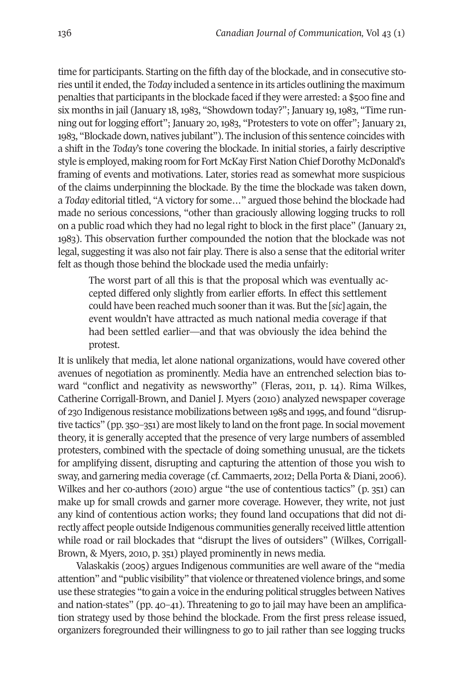time for participants. Starting on the fifth day of the blockade, and in consecutive stories until it ended, the *Today* included a sentence in its articles outlining the maximum penalties that participants in the blockade faced ifthey were arrested: a \$500 fine and six months in jail (January 18,1983, "Showdown today?"; January 19,1983, "Time running out forlogging effort"; January 20, 1983, "Protesters to vote on offer"; January 21, 1983, "Blockade down, natives jubilant"). The inclusion ofthis sentence coincides with a shift in the *Today*'s tone covering the blockade. In initial stories, a fairly descriptive style is employed, making room for Fort McKay First Nation Chief Dorothy McDonald's framing of events and motivations. Later, stories read as somewhat more suspicious of the claims underpinning the blockade. By the time the blockade was taken down, a *Today* editorial titled, "A victory for some…" argued those behind the blockade had made no serious concessions, "other than graciously allowing logging trucks to roll on a public road which they had no legal right to block in the first place" (January 21, 1983). This observation further compounded the notion that the blockade was not legal, suggesting it was also not fair play. There is also a sense that the editorial writer felt as though those behind the blockade used the media unfairly:

The worst part of all this is that the proposal which was eventually accepted differed only slightly from earlier efforts. In effect this settlement could have been reached much soonerthan it was. But the [*sic*] again, the event wouldn't have attracted as much national media coverage if that had been settled earlier—and that was obviously the idea behind the protest.

It is unlikely that media, let alone national organizations, would have covered other avenues of negotiation as prominently. Media have an entrenched selection bias toward "conflict and negativity as newsworthy" (Fleras, 2011, p. 14). Rima Wilkes, Catherine Corrigall-Brown, and Daniel J. Myers (2010) analyzed newspaper coverage of 230 Indigenous resistance mobilizations between 1985 and 1995, and found "disruptive tactics" (pp. 350–351) are most likely to land on the front page. In social movement theory, it is generally accepted that the presence of very large numbers of assembled protesters, combined with the spectacle of doing something unusual, are the tickets for amplifying dissent, disrupting and capturing the attention of those you wish to sway, and garnering media coverage (cf. Cammaerts, 2012; Della Porta & Diani, 2006). Wilkes and her co-authors (2010) argue "the use of contentious tactics" (p. 351) can make up for small crowds and garner more coverage. However, they write, not just any kind of contentious action works; they found land occupations that did not directly affect people outside Indigenous communities generally received little attention while road or rail blockades that "disrupt the lives of outsiders" (Wilkes, Corrigall-Brown, & Myers, 2010, p. 351) played prominently in news media.

Valaskakis (2005) argues Indigenous communities are well aware of the "media attention" and "public visibility" that violence orthreatened violence brings, and some use these strategies "to gain a voice in the enduring political struggles between Natives and nation-states" (pp. 40–41). Threatening to go to jail may have been an amplification strategy used by those behind the blockade. From the first press release issued, organizers foregrounded their willingness to go to jail rather than see logging trucks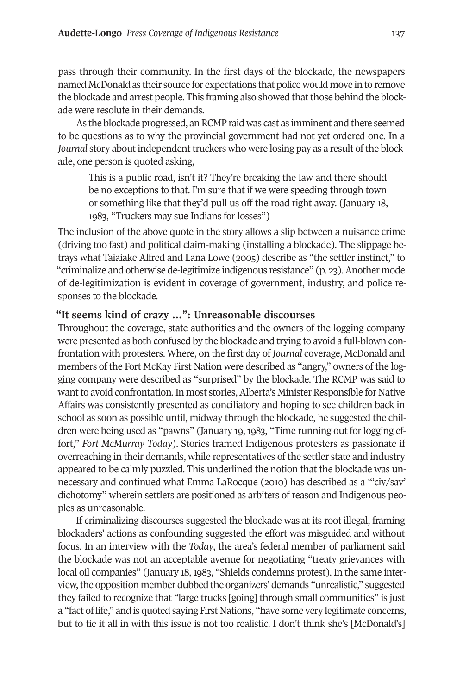pass through their community. In the first days of the blockade, the newspapers named McDonald as their source for expectations that police would move in to remove the blockade and arrest people. This framing also showed that those behind the blockade were resolute in their demands.

As the blockade progressed, anRCMP raid was cast as imminent and there seemed to be questions as to why the provincial government had not yet ordered one. In a *Journal* story about independent truckers who were losing pay as a result of the blockade, one person is quoted asking,

This is a public road, isn't it? They're breaking the law and there should be no exceptions to that. I'm sure that if we were speeding through town or something like that they'd pull us off the road right away. (January 18, 1983, "Truckers may sue Indians for losses")

The inclusion of the above quote in the story allows a slip between a nuisance crime (driving too fast) and political claim-making (installing a blockade). The slippage betrays what Taiaiake Alfred and Lana Lowe (2005) describe as "the settler instinct," to "criminalize and otherwise de-legitimize indigenous resistance" (p. 23). Another mode of de-legitimization is evident in coverage of government, industry, and police responses to the blockade.

### **"It seems kind of crazy …": Unreasonable discourses**

Throughout the coverage, state authorities and the owners of the logging company were presented as both confused by the blockade and trying to avoid a full-blown confrontation with protesters. Where, on the first day of *Journal* coverage, McDonald and members of the Fort McKay First Nation were described as "angry," owners of the logging company were described as "surprised" by the blockade. The RCMP was said to wantto avoid confrontation.In most stories,Alberta's Minister Responsible for Native Affairs was consistently presented as conciliatory and hoping to see children back in school as soon as possible until, midway through the blockade, he suggested the children were being used as "pawns" (January 19, 1983, "Time running out for logging effort," *Fort McMurray Today*). Stories framed Indigenous protesters as passionate if overreaching in their demands, while representatives of the settler state and industry appeared to be calmly puzzled. This underlined the notion that the blockade was unnecessary and continued what Emma LaRocque (2010) has described as a "'civ/sav' dichotomy" wherein settlers are positioned as arbiters of reason and Indigenous peoples as unreasonable.

If criminalizing discourses suggested the blockade was at its root illegal, framing blockaders' actions as confounding suggested the effort was misguided and without focus. In an interview with the *Today*, the area's federal member of parliament said the blockade was not an acceptable avenue for negotiating "treaty grievances with local oil companies" (January 18,1983, "Shields condemns protest). In the same interview,the opposition member dubbed the organizers' demands "unrealistic," suggested they failed to recognize that "large trucks [going] through small communities" is just a "fact of life," and is quoted saying First Nations, "have some very legitimate concerns, but to tie it all in with this issue is not too realistic. I don't think she's [McDonald's]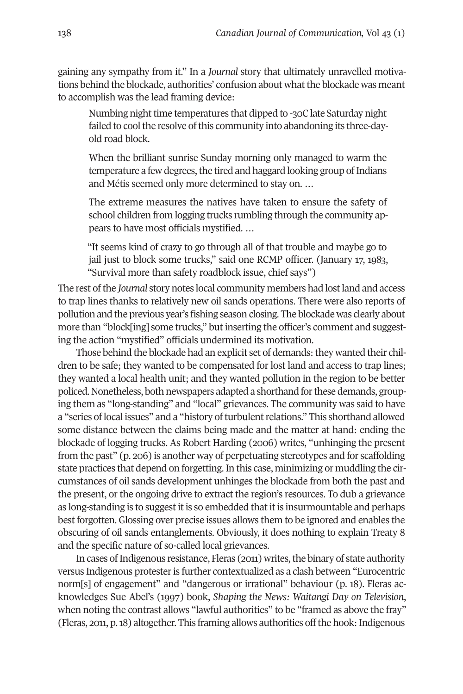gaining any sympathy from it." In a *Journal* story that ultimately unravelled motivations behind the blockade, authorities' confusion about what the blockade was meant to accomplish was the lead framing device:

Numbing night time temperatures that dipped to -30C late Saturday night failed to cool the resolve of this community into abandoning its three-dayold road block.

When the brilliant sunrise Sunday morning only managed to warm the temperature a few degrees, the tired and haggard looking group of Indians and Métis seemed only more determined to stay on. …

The extreme measures the natives have taken to ensure the safety of school children from logging trucks rumbling through the community appears to have most officials mystified. …

"It seems kind of crazy to go through all of that trouble and maybe go to jail just to block some trucks," said one RCMP officer. (January 17, 1983, "Survival more than safety roadblock issue, chief says")

The rest ofthe *Journal* story notes local community members had lostland and access to trap lines thanks to relatively new oil sands operations. There were also reports of pollution and the previous year's fishing season closing. The blockade was clearly about more than "block[ing] some trucks," but inserting the officer's comment and suggesting the action "mystified" officials undermined its motivation.

Those behind the blockade had an explicit set of demands: they wanted their children to be safe; they wanted to be compensated for lost land and access to trap lines; they wanted a local health unit; and they wanted pollution in the region to be better policed. Nonetheless, both newspapers adapted a shorthand for these demands, grouping them as "long-standing" and "local" grievances. The community was said to have a "series of local issues" and a "history of turbulent relations." This shorthand allowed some distance between the claims being made and the matter at hand: ending the blockade of logging trucks. As Robert Harding (2006) writes, "unhinging the present from the past" (p. 206) is another way of perpetuating stereotypes and for scaffolding state practices that depend on forgetting.In this case, minimizing or muddling the circumstances of oil sands development unhinges the blockade from both the past and the present, or the ongoing drive to extract the region's resources. To dub a grievance as long-standing is to suggest it is so embedded that it is insurmountable and perhaps best forgotten. Glossing over precise issues allows them to be ignored and enables the obscuring of oil sands entanglements. Obviously, it does nothing to explain Treaty 8 and the specific nature of so-called local grievances.

In cases of Indigenous resistance, Fleras (2011) writes, the binary of state authority versus Indigenous protesteris further contextualized as a clash between "Eurocentric norm[s] of engagement" and "dangerous or irrational" behaviour (p. 18). Fleras acknowledges Sue Abel's (1997) book, *Shaping the News: Waitangi Day on Television*, when noting the contrast allows "lawful authorities" to be "framed as above the fray"  $(F$  (Fleras, 2011, p. 18) altogether. This framing allows authorities off the hook: Indigenous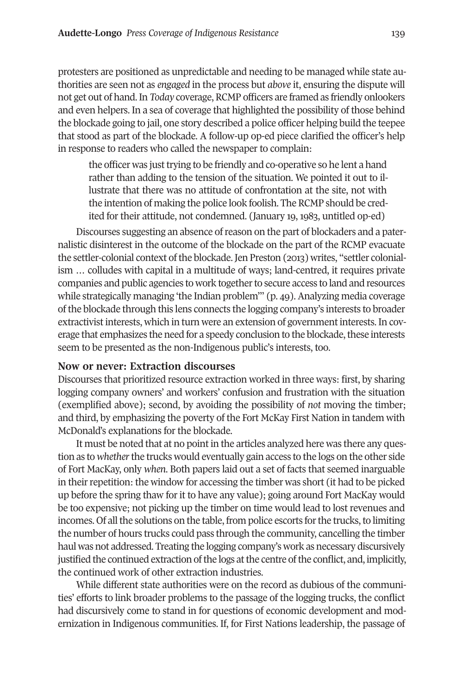protesters are positioned as unpredictable and needing to be managed while state authorities are seen not as *engaged* in the process but *above* it, ensuring the dispute will not get out of hand.In *Today* coverage, RCMP officers are framed as friendly onlookers and even helpers. In a sea of coverage that highlighted the possibility of those behind the blockade going to jail, one story described a police officer helping build the teepee that stood as part of the blockade. A follow-up op-ed piece clarified the officer's help in response to readers who called the newspaper to complain:

the officer was just trying to be friendly and co-operative so he lent a hand rather than adding to the tension of the situation. We pointed it out to illustrate that there was no attitude of confrontation at the site, not with the intention of making the police look foolish. The RCMP should be credited for their attitude, not condemned. (January 19, 1983, untitled op-ed)

Discourses suggesting an absence ofreason on the part of blockaders and a paternalistic disinterest in the outcome of the blockade on the part of the RCMP evacuate the settler-colonial context of the blockade. Jen Preston (2013) writes, "settler colonialism … colludes with capital in a multitude of ways; land-centred, it requires private companies and public agencies to work together to secure access to land and resources while strategically managing 'the Indian problem'" (p. 49). Analyzing media coverage ofthe blockade through this lens connects the logging company's interests to broader extractivist interests, which in turn were an extension of government interests. In coverage that emphasizes the need for a speedy conclusion to the blockade, these interests seem to be presented as the non-Indigenous public's interests, too.

#### **Now or never: Extraction discourses**

Discourses that prioritized resource extraction worked in three ways: first, by sharing logging company owners' and workers' confusion and frustration with the situation (exemplified above); second, by avoiding the possibility of *not* moving the timber; and third, by emphasizing the poverty of the Fort McKay First Nation in tandem with McDonald's explanations for the blockade.

It must be noted that at no point in the articles analyzed here was there any question as to *whether*the trucks would eventually gain access to the logs on the other side of Fort MacKay, only *when*. Both papers laid out a set of facts that seemed inarguable in their repetition: the window for accessing the timber was short (it had to be picked up before the spring thaw for it to have any value); going around Fort MacKay would be too expensive; not picking up the timber on time would lead to lost revenues and incomes. Of all the solutions on the table, from police escorts for the trucks, to limiting the number of hours trucks could pass through the community, cancelling the timber haul was not addressed. Treating the logging company's work as necessary discursively justified the continued extraction of the logs at the centre of the conflict, and, implicitly, the continued work of other extraction industries.

While different state authorities were on the record as dubious of the communities' efforts to link broader problems to the passage of the logging trucks, the conflict had discursively come to stand in for questions of economic development and modernization in Indigenous communities. If, for First Nations leadership, the passage of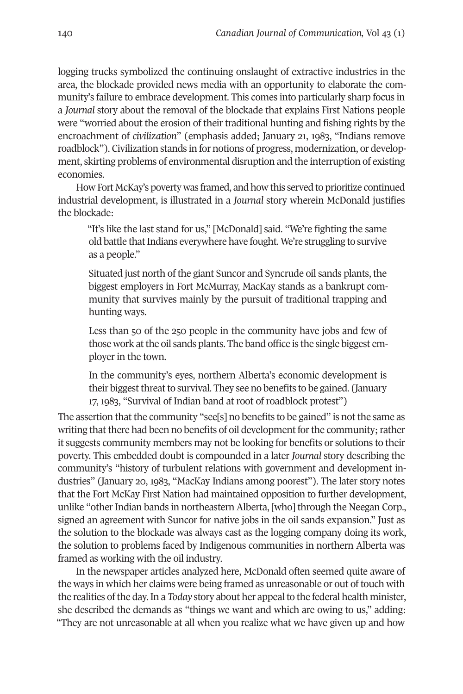logging trucks symbolized the continuing onslaught of extractive industries in the area, the blockade provided news media with an opportunity to elaborate the community's failure to embrace development. This comes into particularly sharp focus in a *Journal* story about the removal of the blockade that explains First Nations people were "worried about the erosion of their traditional hunting and fishing rights by the encroachment of *civilization*" (emphasis added; January 21, 1983, "Indians remove roadblock"). Civilization stands in for notions of progress, modernization, or development, skirting problems of environmental disruption and the interruption of existing economies.

How Fort McKay's poverty was framed, and how this served to prioritize continued industrial development, is illustrated in a *Journal* story wherein McDonald justifies the blockade:

"It's like the last stand for us," [McDonald] said. "We're fighting the same old battle that Indians everywhere have fought. We're struggling to survive as a people."

Situated just north of the giant Suncor and Syncrude oil sands plants, the biggest employers in Fort McMurray, MacKay stands as a bankrupt community that survives mainly by the pursuit of traditional trapping and hunting ways.

Less than 50 of the 250 people in the community have jobs and few of those work at the oil sands plants. The band office is the single biggest employer in the town.

In the community's eyes, northern Alberta's economic development is their biggest threat to survival. They see no benefits to be gained. (January 17, 1983, "Survival of Indian band at root of roadblock protest")

The assertion that the community "see[s] no benefits to be gained" is not the same as writing that there had been no benefits of oil development for the community; rather it suggests community members may not be looking for benefits or solutions to their poverty. This embedded doubt is compounded in a later *Journal* story describing the community's "history of turbulent relations with government and development industries" (January 20, 1983, "MacKay Indians among poorest"). The later story notes that the Fort McKay First Nation had maintained opposition to further development, unlike "other Indian bands in northeastern Alberta, [who] through the Neegan Corp., signed an agreement with Suncor for native jobs in the oil sands expansion." Just as the solution to the blockade was always cast as the logging company doing its work, the solution to problems faced by Indigenous communities in northern Alberta was framed as working with the oil industry.

In the newspaper articles analyzed here, McDonald often seemed quite aware of the ways in which her claims were being framed as unreasonable or out of touch with the realities of the day. In a *Today* story about her appeal to the federal health minister, she described the demands as "things we want and which are owing to us," adding: "They are not unreasonable at all when you realize what we have given up and how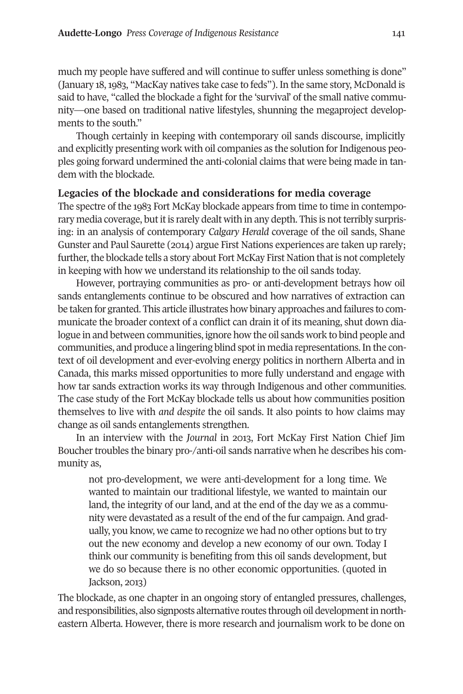much my people have suffered and will continue to suffer unless something is done" (January 18,1983, "MacKay natives take case to feds"). In the same story, McDonald is said to have, "called the blockade a fight for the 'survival' of the small native community—one based on traditional native lifestyles, shunning the megaproject developments to the south."

Though certainly in keeping with contemporary oil sands discourse, implicitly and explicitly presenting work with oil companies as the solution for Indigenous peoples going forward undermined the anti-colonial claims that were being made in tandem with the blockade.

### **Legacies of the blockade and considerations for media coverage**

The spectre of the 1983 Fort McKay blockade appears from time to time in contemporary media coverage, but it is rarely dealt with in any depth. This is not terribly surprising: in an analysis of contemporary *Calgary Herald* coverage of the oil sands, Shane Gunster and Paul Saurette (2014) argue First Nations experiences are taken up rarely; further, the blockade tells a story about Fort McKay First Nation that is not completely in keeping with how we understand its relationship to the oil sands today.

However, portraying communities as pro- or anti-development betrays how oil sands entanglements continue to be obscured and how narratives of extraction can be taken for granted. This article illustrates how binary approaches and failures to communicate the broader context of a conflict can drain it of its meaning, shut down dialogue in and between communities, ignore how the oil sands work to bind people and communities, and produce a lingering blind spotin media representations.In the context of oil development and ever-evolving energy politics in northern Alberta and in Canada, this marks missed opportunities to more fully understand and engage with how tar sands extraction works its way through Indigenous and other communities. The case study of the Fort McKay blockade tells us about how communities position themselves to live with *and despite* the oil sands. It also points to how claims may change as oil sands entanglements strengthen.

In an interview with the *Journal* in 2013, Fort McKay First Nation Chief Jim Boucher troubles the binary pro-/anti-oil sands narrative when he describes his community as,

not pro-development, we were anti-development for a long time. We wanted to maintain our traditional lifestyle, we wanted to maintain our land, the integrity of our land, and at the end of the day we as a community were devastated as a result of the end of the fur campaign. And gradually, you know, we came to recognize we had no other options but to try out the new economy and develop a new economy of our own. Today I think our community is benefiting from this oil sands development, but we do so because there is no other economic opportunities. (quoted in Jackson, 2013)

The blockade, as one chapter in an ongoing story of entangled pressures, challenges, and responsibilities, also signposts alternative routes through oil developmentin northeastern Alberta. However, there is more research and journalism work to be done on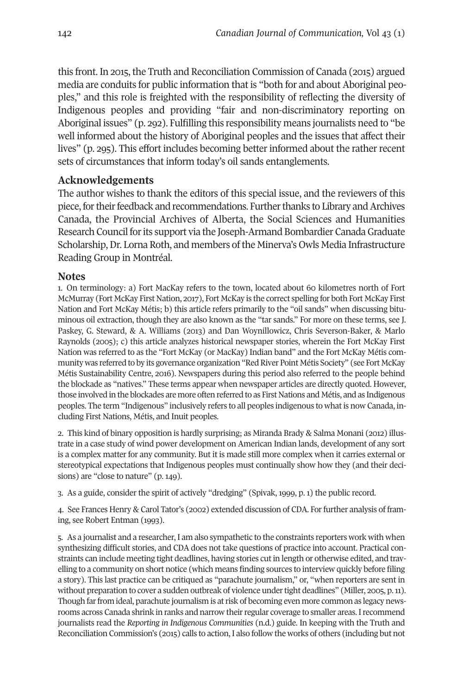this front. In 2015, the Truth and Reconciliation Commission of Canada (2015) argued media are conduits for public information that is "both for and about Aboriginal peoples," and this role is freighted with the responsibility of reflecting the diversity of Indigenous peoples and providing "fair and non-discriminatory reporting on Aboriginal issues" (p. 292). Fulfilling this responsibility means journalists need to "be well informed about the history of Aboriginal peoples and the issues that affect their lives" (p. 295). This effort includes becoming better informed about the rather recent sets of circumstances that inform today's oil sands entanglements.

# **Acknowledgements**

The author wishes to thank the editors of this special issue, and the reviewers of this piece, for their feedback and recommendations. Further thanks to Library and Archives Canada, the Provincial Archives of Alberta, the Social Sciences and Humanities Research Council for its support via the Joseph-Armand Bombardier Canada Graduate Scholarship, Dr. Lorna Roth, and members of the Minerva's Owls Media Infrastructure Reading Group in Montréal.

# <span id="page-15-0"></span>**Notes**

1. On terminology: a) Fort MacKay refers to the town, located about 60 kilometres north of Fort McMurray (Fort McKay First Nation, 2017), Fort McKay is the correct spelling for both Fort McKay First Nation and Fort McKay Métis; b) this article refers primarily to the "oil sands" when discussing bituminous oil extraction, though they are also known as the "tar sands." For more on these terms, see J. Paskey, G. Steward, & A. Williams (2013) and Dan Woynillowicz, Chris Severson-Baker, & Marlo Raynolds (2005); c) this article analyzes historical newspaper stories, wherein the Fort McKay First Nation was referred to as the "Fort McKay (or MacKay) Indian band" and the Fort McKay Métis community was referred to by its governance organization "Red River Point Métis Society" (see Fort McKay Métis Sustainability Centre, 2016). Newspapers during this period also referred to the people behind the blockade as "natives." These terms appear when newspaper articles are directly quoted. However, those involved in the blockades are more often referred to as First Nations and Métis, and as Indigenous peoples. The term "Indigenous" inclusively refers to all peoples indigenous to what is now Canada, including First Nations, Métis, and Inuit peoples.

<span id="page-15-1"></span>2. This kind of binary opposition is hardly surprising; as Miranda Brady & Salma Monani (2012) illustrate in a case study of wind power development on American Indian lands, development of any sort is a complex matter for any community. But it is made still more complex when it carries external or stereotypical expectations that Indigenous peoples must continually show how they (and their decisions) are "close to nature" (p. 149).

<span id="page-15-2"></span>3. As a guide, consider the spirit of actively "dredging" (Spivak, 1999, p. 1) the public record.

<span id="page-15-3"></span>4. See Frances Henry & Carol Tator's (2002) extended discussion of CDA. Forfurther analysis of framing, see Robert Entman (1993).

<span id="page-15-4"></span>5. As a journalist and a researcher, I am also sympathetic to the constraints reporters work with when synthesizing difficult stories, and CDA does not take questions of practice into account. Practical constraints can include meeting tight deadlines, having stories cutin length or otherwise edited, and travelling to a community on short notice (which means finding sources to interview quickly before filing a story). This last practice can be critiqued as "parachute journalism," or, "when reporters are sent in without preparation to cover a sudden outbreak of violence under tight deadlines" (Miller, 2005, p. 11). Though far from ideal, parachute journalism is at risk of becoming even more common as legacy newsrooms across Canada shrink in ranks and narrow their regular coverage to smaller areas. I recommend journalists read the *Reporting in Indigenous Communities* (n.d.) guide. In keeping with the Truth and Reconciliation Commission's (2015) calls to action,I also follow the works of others (including but not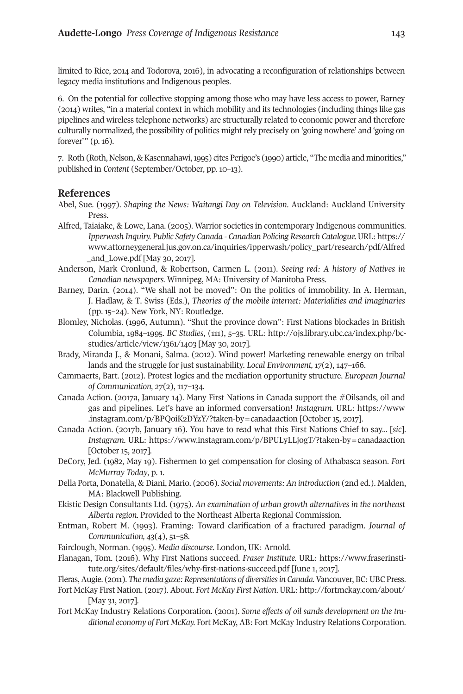limited to Rice, 2014 and Todorova, 2016), in advocating a reconfiguration of relationships between legacy media institutions and Indigenous peoples.

<span id="page-16-0"></span>6. On the potential for collective stopping among those who may have less access to power, Barney (2014) writes, "in a material context in which mobility and its technologies (including things like gas pipelines and wireless telephone networks) are structurally related to economic power and therefore culturally normalized, the possibility of politics mightrely precisely on 'going nowhere' and 'going on forever'" (p. 16).

<span id="page-16-1"></span>7. Roth (Roth, Nelson, & Kasennahawi,1995) cites Perigoe's (1990) article, "The media and minorities," published in *Content* (September/October, pp. 10–13).

#### **References**

- Abel, Sue. (1997). *Shaping the News: Waitangi Day on Television*. Auckland: Auckland University Press.
- Alfred, Taiaiake, & Lowe, Lana. (2005). Warrior societies in contemporary Indigenous communities. *Ipperwash Inquiry. Public Safety Canada - Canadian Policing Research Catalogue.*URL: [https://](https://www.attorneygeneral.jus.gov.on.ca/inquiries/ipperwash/policy_part/research/pdf/Alfred_and_Lowe.pdf) [www.attorneygeneral.jus.gov.on.ca/inquiries/ipperwash/policy\\_part/research/pdf/Alfred](https://www.attorneygeneral.jus.gov.on.ca/inquiries/ipperwash/policy_part/research/pdf/Alfred_and_Lowe.pdf) [\\_and\\_Lowe.pdf](https://www.attorneygeneral.jus.gov.on.ca/inquiries/ipperwash/policy_part/research/pdf/Alfred_and_Lowe.pdf) [May 30, 2017].
- Anderson, Mark Cronlund, & Robertson, Carmen L. (2011). *Seeing red: A history of Natives in Canadian newspapers.* Winnipeg, MA: University of Manitoba Press.
- Barney, Darin. (2014). "We shall not be moved": On the politics of immobility. In A. Herman, J. Hadlaw, & T. Swiss (Eds.), *Theories of the mobile internet: Materialities and imaginaries* (pp. 15–24). New York, NY: Routledge.
- Blomley, Nicholas. (1996, Autumn). "Shut the province down": First Nations blockades in British Columbia, 1984–1995. *BC Studies*, (111), 5–35. URL: [http://ojs.library.ubc.ca/index.php/bc](http://ojs.library.ubc.ca/index.php/bcstudies/article/view/1361/1403)[studies/article/view/1361/1403](http://ojs.library.ubc.ca/index.php/bcstudies/article/view/1361/1403) [May 30, 2017].
- Brady, Miranda J., & Monani, Salma. (2012). Wind power! Marketing renewable energy on tribal lands and the struggle for just sustainability. *Local Environment, 17*(2), 147–166.
- Cammaerts, Bart. (2012). Protest logics and the mediation opportunity structure. *European Journal of Communication, 27*(2), 117–134.
- Canada Action. (2017a, January 14). Many First Nations in Canada support the #Oilsands, oil and gas and pipelines. Let's have an informed conversation! *Instagram.* URL: [https://www](https://www.instagram.com/p/BPQoiK2DYzY/?taken-by=canadaaction) [.instagram.com/p/BPQoiK2DYzY/?taken-by=canadaaction](https://www.instagram.com/p/BPQoiK2DYzY/?taken-by=canadaaction) [October 15, 2017].
- Canada Action. (2017b, January 16). You have to read what this First Nations Chief to say... [*sic*]. *Instagram.* URL: <https://www.instagram.com/p/BPULyLLjogT/?taken-by=canadaaction> [October 15, 2017].
- DeCory, Jed. (1982, May 19). Fishermen to get compensation for closing of Athabasca season. *Fort McMurray Today*, p. 1.
- Della Porta, Donatella, & Diani, Mario. (2006). *Social movements: An introduction* (2nd ed.). Malden, MA: Blackwell Publishing.
- Ekistic Design Consultants Ltd. (1975). *An examination of urban growth alternatives in the northeast Alberta region.* Provided to the Northeast Alberta Regional Commission.
- Entman, Robert M. (1993). Framing: Toward clarification of a fractured paradigm. *Journal of Communication, 43*(4), 51–58.
- Fairclough, Norman. (1995). *Media discourse*. London, UK: Arnold.
- Flanagan, Tom. (2016). Why First Nations succeed. *Fraser Institute.* URL: [https://www.fraserinsti](https://www.fraserinstitute.org/sites/default/files/why-first-nations-succeed.pdf)[tute.org/sites/default/files/why-first-nations-succeed.pdf](https://www.fraserinstitute.org/sites/default/files/why-first-nations-succeed.pdf) [June 1, 2017].
- Fleras,Augie. (2011). *The media gaze: Representations of diversitiesin Canada.*Vancouver, BC:UBC Press.
- Fort McKay First Nation. (2017). About. *Fort McKay First Nation*. URL: http://fortmckay.com/about/ [May 31, 2017].
- Fort McKay Industry Relations Corporation. (2001). *Some effects of oil sands development on the traditional economy of Fort McKay.* Fort McKay, AB: Fort McKay Industry Relations Corporation.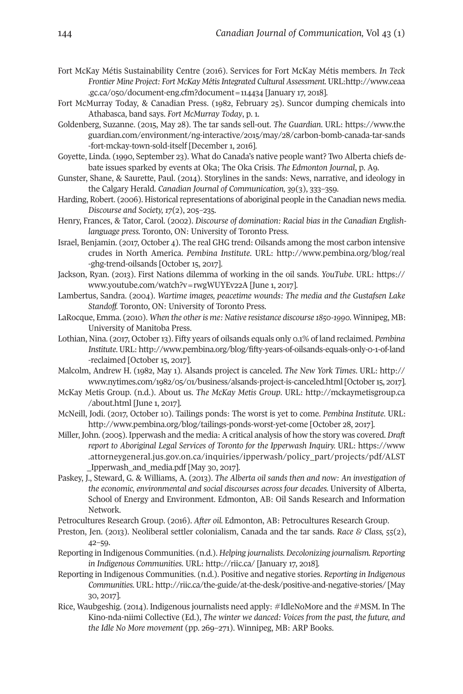- Fort McKay Métis Sustainability Centre (2016). Services for Fort McKay Métis members. *In Teck Frontier Mine Project: Fort McKay MétisIntegrated Cultural Assessment.* URL[:http://www.ceaa](http://www.ceaa.gc.ca/050/document-eng.cfm?document=114434) [.gc.ca/050/document-eng.cfm?document=114434](http://www.ceaa.gc.ca/050/document-eng.cfm?document=114434) [January 17, 2018].
- Fort McMurray Today, & Canadian Press. (1982, February 25). Suncor dumping chemicals into Athabasca, band says. *Fort McMurray Today*, p. 1.
- Goldenberg, Suzanne. (2015, May 28). The tar sands sell-out. *The Guardian*. URL: [https://www.the](https://www.theguardian.com/environment/ng-interactive/2015/may/28/carbon-bomb-canada-tar-sands-fort-mckay-town-sold-itself) [guardian.com/environment/ng-interactive/2015/may/28/carbon-bomb-canada-tar-sands](https://www.theguardian.com/environment/ng-interactive/2015/may/28/carbon-bomb-canada-tar-sands-fort-mckay-town-sold-itself) [-fort-mckay-town-sold-itself](https://www.theguardian.com/environment/ng-interactive/2015/may/28/carbon-bomb-canada-tar-sands-fort-mckay-town-sold-itself) [December 1, 2016].
- Goyette, Linda. (1990, September 23). What do Canada's native people want? Two Alberta chiefs debate issues sparked by events at Oka; The Oka Crisis. *The Edmonton Journal*, p. A9.
- Gunster, Shane, & Saurette, Paul. (2014). Storylines in the sands: News, narrative, and ideology in the Calgary Herald. *Canadian Journal of Communication, 39*(3), 333–359.
- Harding, Robert. (2006). Historical representations of aboriginal people in the Canadian news media. *Discourse and Society, 17*(2), 205–235.
- Henry, Frances, & Tator, Carol. (2002). *Discourse of domination: Racial bias in the Canadian Englishlanguage press.* Toronto, ON: University of Toronto Press.
- Israel, Benjamin. (2017, October 4). The real GHG trend: Oilsands among the most carbon intensive crudes in North America. *Pembina Institute*. URL: [http://www.pembina.org/blog/real](http://www.pembina.org/blog/real-ghg-trend-oilsands) [-ghg-trend-oilsands](http://www.pembina.org/blog/real-ghg-trend-oilsands) [October 15, 2017].
- Jackson, Ryan. (2013). First Nations dilemma of working in the oil sands. *YouTube*. URL: [https://](https://www.youtube.com/watch?v=rwgWUYEv22A) [www.youtube.com/watch?v=rwgWUYEv22A](https://www.youtube.com/watch?v=rwgWUYEv22A) [June 1, 2017].
- Lambertus, Sandra. (2004). *Wartime images, peacetime wounds: The media and the Gustafsen Lake Standoff.* Toronto, ON: University of Toronto Press.
- LaRocque, Emma. (2010). *When the otheris me: Native resistance discourse 1850-1990.* Winnipeg, MB: University of Manitoba Press.
- Lothian, Nina. (2017, October 13). Fifty years of oilsands equals only 0.1% of land reclaimed. *Pembina Institute*. URL: [http://www.pembina.org/blog/fifty-years-of-oilsands-equals-only-0-1-of-land](http://www.pembina.org/blog/fifty-years-of-oilsands-equals-only-0-1-of-land-reclaimed) [-reclaimed](http://www.pembina.org/blog/fifty-years-of-oilsands-equals-only-0-1-of-land-reclaimed) [October 15, 2017].
- Malcolm, Andrew H. (1982, May 1). Alsands project is canceled. *The New York Times*. URL: [http://](http://www.nytimes.com/1982/05/01/business/alsands-project-is-canceled.html) [www.nytimes.com/1982/05/01/business/alsands-project-is-canceled.html](http://www.nytimes.com/1982/05/01/business/alsands-project-is-canceled.html) [October15, 2017].
- McKay Metis Group. (n.d.). About us. *The McKay Metis Group*. URL: [http://mckaymetisgroup.ca](http://mckaymetisgroup.ca/about.html) [/about.html](http://mckaymetisgroup.ca/about.html) [June 1, 2017].
- McNeill, Jodi. (2017, October 10). Tailings ponds: The worst is yet to come. *Pembina Institute*. URL: <http://www.pembina.org/blog/tailings-ponds-worst-yet-come> [October 28, 2017].
- Miller, John. (2005). Ipperwash and the media: A critical analysis of how the story was covered. *Draft report to Aboriginal Legal Services of Toronto for the Ipperwash Inquiry.* URL: [https://www](https://www.attorneygeneral.jus.gov.on.ca/inquiries/ipperwash/policy_part/projects/pdf/ALST_Ipperwash_and_media.pdf) [.attorneygeneral.jus.gov.on.ca/inquiries/ipperwash/policy\\_part/projects/pdf/ALST](https://www.attorneygeneral.jus.gov.on.ca/inquiries/ipperwash/policy_part/projects/pdf/ALST_Ipperwash_and_media.pdf) [\\_Ipperwash\\_and\\_media.pdf](https://www.attorneygeneral.jus.gov.on.ca/inquiries/ipperwash/policy_part/projects/pdf/ALST_Ipperwash_and_media.pdf) [May 30, 2017].
- Paskey, J., Steward, G. & Williams, A. (2013). *The Alberta oil sands then and now: An investigation of the economic, environmental and social discourses across four decades.* University of Alberta, School of Energy and Environment. Edmonton, AB: Oil Sands Research and Information Network.
- Petrocultures Research Group. (2016). *After oil.* Edmonton, AB: Petrocultures Research Group.
- Preston, Jen. (2013). Neoliberal settler colonialism, Canada and the tar sands. *Race & Class, 55*(2), 42–59.
- Reporting in Indigenous Communities. (n.d.). *Helping journalists. Decolonizing journalism. Reporting in Indigenous Communities*. URL: <http://riic.ca/> [January 17, 2018].
- Reporting in Indigenous Communities. (n.d.). Positive and negative stories. *Reporting in Indigenous Communities*. URL: <http://riic.ca/the-guide/at-the-desk/positive-and-negative-stories/> [May 30, 2017].
- Rice, Waubgeshig. (2014). Indigenous journalists need apply: #IdleNoMore and the #MSM. In The Kino-nda-niimi Collective (Ed.), *The winter we danced: Voices from the past, the future, and the Idle No More movement* (pp. 269–271). Winnipeg, MB: ARP Books.